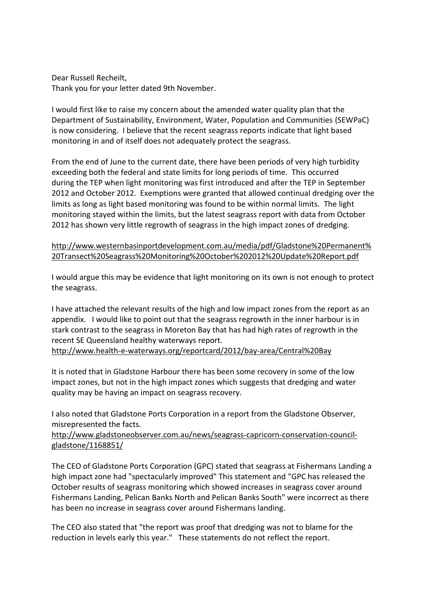Dear Russell Recheilt, Thank you for your letter dated 9th November.

I would first like to raise my concern about the amended water quality plan that the Department of Sustainability, Environment, Water, Population and Communities (SEWPaC) is now considering. I believe that the recent seagrass reports indicate that light based monitoring in and of itself does not adequately protect the seagrass.

From the end of June to the current date, there have been periods of very high turbidity exceeding both the federal and state limits for long periods of time. This occurred during the TEP when light monitoring was first introduced and after the TEP in September 2012 and October 2012. Exemptions were granted that allowed continual dredging over the limits as long as light based monitoring was found to be within normal limits. The light monitoring stayed within the limits, but the latest seagrass report with data from October 2012 has shown very little regrowth of seagrass in the high impact zones of dredging.

[http://www.westernbasinportdevelopment.com.au/media/pdf/Gladstone%20Permanent%](http://www.westernbasinportdevelopment.com.au/media/pdf/Gladstone%20Permanent%20Transect%20Seagrass%20Monitoring%20October%202012%20Update%20Report.pdf) [20Transect%20Seagrass%20Monitoring%20October%202012%20Update%20Report.pdf](http://www.westernbasinportdevelopment.com.au/media/pdf/Gladstone%20Permanent%20Transect%20Seagrass%20Monitoring%20October%202012%20Update%20Report.pdf) 

I would argue this may be evidence that light monitoring on its own is not enough to protect the seagrass.

I have attached the relevant results of the high and low impact zones from the report as an appendix. I would like to point out that the seagrass regrowth in the inner harbour is in stark contrast to the seagrass in Moreton Bay that has had high rates of regrowth in the recent SE Queensland healthy waterways report.

<http://www.health-e-waterways.org/reportcard/2012/bay-area/Central%20Bay>

It is noted that in Gladstone Harbour there has been some recovery in some of the low impact zones, but not in the high impact zones which suggests that dredging and water quality may be having an impact on seagrass recovery.

I also noted that Gladstone Ports Corporation in a report from the Gladstone Observer, misrepresented the facts.

[http://www.gladstoneobserver.com.au/news/seagrass-capricorn-conservation-council](http://www.google.com/url?q=http%3A%2F%2Fwww.gladstoneobserver.com.au%2Fnews%2Fseagrass-capricorn-conservation-council-gladstone%2F1168851%2F&sa=D&sntz=1&usg=AFQjCNHlxIdtlZKIE9h_V8o1SY7LdN2bhw)[gladstone/1168851/](http://www.google.com/url?q=http%3A%2F%2Fwww.gladstoneobserver.com.au%2Fnews%2Fseagrass-capricorn-conservation-council-gladstone%2F1168851%2F&sa=D&sntz=1&usg=AFQjCNHlxIdtlZKIE9h_V8o1SY7LdN2bhw)

The CEO of Gladstone Ports Corporation (GPC) stated that seagrass at Fishermans Landing a high impact zone had "spectacularly improved" This statement and "GPC has released the October results of seagrass monitoring which showed increases in seagrass cover around Fishermans Landing, Pelican Banks North and Pelican Banks South" were incorrect as there has been no increase in seagrass cover around Fishermans landing.

The CEO also stated that "the report was proof that dredging was not to blame for the reduction in levels early this year." These statements do not reflect the report.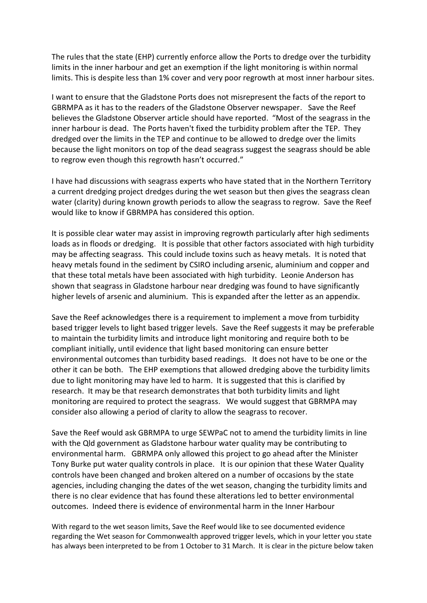The rules that the state (EHP) currently enforce allow the Ports to dredge over the turbidity limits in the inner harbour and get an exemption if the light monitoring is within normal limits. This is despite less than 1% cover and very poor regrowth at most inner harbour sites.

I want to ensure that the Gladstone Ports does not misrepresent the facts of the report to GBRMPA as it has to the readers of the Gladstone Observer newspaper. Save the Reef believes the Gladstone Observer article should have reported. "Most of the seagrass in the inner harbour is dead. The Ports haven't fixed the turbidity problem after the TEP. They dredged over the limits in the TEP and continue to be allowed to dredge over the limits because the light monitors on top of the dead seagrass suggest the seagrass should be able to regrow even though this regrowth hasn't occurred."

I have had discussions with seagrass experts who have stated that in the Northern Territory a current dredging project dredges during the wet season but then gives the seagrass clean water (clarity) during known growth periods to allow the seagrass to regrow. Save the Reef would like to know if GBRMPA has considered this option.

It is possible clear water may assist in improving regrowth particularly after high sediments loads as in floods or dredging. It is possible that other factors associated with high turbidity may be affecting seagrass. This could include toxins such as heavy metals. It is noted that heavy metals found in the sediment by CSIRO including arsenic, aluminium and copper and that these total metals have been associated with high turbidity. Leonie Anderson has shown that seagrass in Gladstone harbour near dredging was found to have significantly higher levels of arsenic and aluminium. This is expanded after the letter as an appendix.

Save the Reef acknowledges there is a requirement to implement a move from turbidity based trigger levels to light based trigger levels. Save the Reef suggests it may be preferable to maintain the turbidity limits and introduce light monitoring and require both to be compliant initially, until evidence that light based monitoring can ensure better environmental outcomes than turbidity based readings. It does not have to be one or the other it can be both. The EHP exemptions that allowed dredging above the turbidity limits due to light monitoring may have led to harm. It is suggested that this is clarified by research. It may be that research demonstrates that both turbidity limits and light monitoring are required to protect the seagrass. We would suggest that GBRMPA may consider also allowing a period of clarity to allow the seagrass to recover.

Save the Reef would ask GBRMPA to urge SEWPaC not to amend the turbidity limits in line with the Qld government as Gladstone harbour water quality may be contributing to environmental harm. GBRMPA only allowed this project to go ahead after the Minister Tony Burke put water quality controls in place. It is our opinion that these Water Quality controls have been changed and broken altered on a number of occasions by the state agencies, including changing the dates of the wet season, changing the turbidity limits and there is no clear evidence that has found these alterations led to better environmental outcomes. Indeed there is evidence of environmental harm in the Inner Harbour

With regard to the wet season limits, Save the Reef would like to see documented evidence regarding the Wet season for Commonwealth approved trigger levels, which in your letter you state has always been interpreted to be from 1 October to 31 March. It is clear in the picture below taken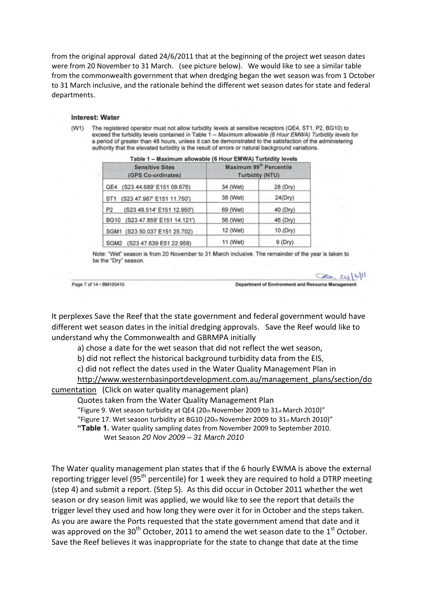from the original approval dated 24/6/2011 that at the beginning of the project wet season dates were from 20 November to 31 March. (see picture below). We would like to see a similar table from the commonwealth government that when dredging began the wet season was from 1 October to 31 March inclusive, and the rationale behind the different wet season dates for state and federal departments.

## Interest: Water

(W1) The registered operator must not allow turbidity levels at sensitive receptors (QE4, ST1, P2, BG10) to exceed the turbidity levels contained in Table 1 - Maximum allowable (6 Hour EMWA) Turbidity levels for a period of greater than 48 hours, unless it can be demonstrated to the satisfaction of the administering authority that the elevated turbidity is the result of errors or natural background variations.

| <b>Sensitive Sites</b><br>(GPS Co-ordinates)  | Maximum 99 <sup>th</sup> Percentile<br><b>Turbidity (NTU)</b> |           |
|-----------------------------------------------|---------------------------------------------------------------|-----------|
| QE4 (S23 44.689' E151 09.676)                 | 34 (Wet)                                                      | 28 (Dry)  |
| (S23 47.987' E151 11.750')<br>ST <sub>1</sub> | 38 (Wet)                                                      | 24(Dry)   |
| (S23 48.514' E151 12.950')<br>P <sub>2</sub>  | 69 (Wet)                                                      | 40 (Dry)  |
| (S23 47.859' E151 14.121')<br><b>BG10</b>     | 56 (Wet)                                                      | 46 (Dry)  |
| SGM1 (S23 50.037 E151 25.702)                 | 12 (Wet)                                                      | 10 (Dry)  |
| SGM2 (S23 47.639 E51 22.958)                  | 11 (Wet)                                                      | $9$ (Dry) |

| Table 1 - Maximum allowable (6 Hour EMWA) Turbidity levels |  |  |
|------------------------------------------------------------|--|--|
|                                                            |  |  |

Note: "Wet" season is from 20 November to 31 March inclusive. The remainder of the year is taken to be the "Dry" season.

Page 7 of 14 · BM100410

 $2411$ Department of Environment and Resource Management

It perplexes Save the Reef that the state government and federal government would have different wet season dates in the initial dredging approvals. Save the Reef would like to understand why the Commonwealth and GBRMPA initially

a) chose a date for the wet season that did not reflect the wet season,

b) did not reflect the historical background turbidity data from the EIS,

c) did not reflect the dates used in the Water Quality Management Plan in

[http://www.westernbasinportdevelopment.com.au/management\\_plans/section/do](http://www.westernbasinportdevelopment.com.au/management_plans/section/documentation) [cumentation](http://www.westernbasinportdevelopment.com.au/management_plans/section/documentation) (Click on water quality management plan)

Quotes taken from the Water Quality Management Plan

"Figure 9. Wet season turbidity at QE4 (20th November 2009 to  $31<sub>st</sub>$  March 2010)"

"Figure 17. Wet season turbidity at BG10 (20th November 2009 to  $31_{st}$  March 2010)"

 **"Table 1.** Water quality sampling dates from November 2009 to September 2010.

Wet Season *20 Nov 2009 – 31 March 2010*

The Water quality management plan states that if the 6 hourly EWMA is above the external reporting trigger level (95<sup>th</sup> percentile) for 1 week they are required to hold a DTRP meeting (step 4) and submit a report. (Step 5). As this did occur in October 2011 whether the wet season or dry season limit was applied, we would like to see the report that details the trigger level they used and how long they were over it for in October and the steps taken. As you are aware the Ports requested that the state government amend that date and it was approved on the 30<sup>th</sup> October, 2011 to amend the wet season date to the 1<sup>st</sup> October. Save the Reef believes it was inappropriate for the state to change that date at the time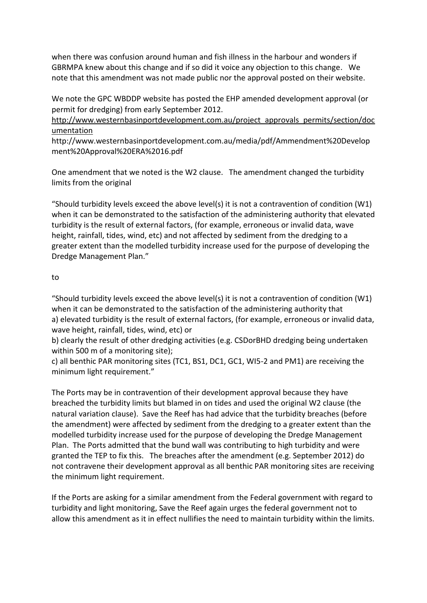when there was confusion around human and fish illness in the harbour and wonders if GBRMPA knew about this change and if so did it voice any objection to this change. We note that this amendment was not made public nor the approval posted on their website.

We note the GPC WBDDP website has posted the EHP amended development approval (or permit for dredging) from early September 2012.

[http://www.westernbasinportdevelopment.com.au/project\\_approvals\\_permits/section/doc](http://www.google.com/url?q=http%3A%2F%2Fwww.westernbasinportdevelopment.com.au%2Fproject_approvals_permits%2Fsection%2Fdocumentation&sa=D&sntz=1&usg=AFQjCNHt19hfhRlegrAXvYv0_X5qAmC1kg) [umentation](http://www.google.com/url?q=http%3A%2F%2Fwww.westernbasinportdevelopment.com.au%2Fproject_approvals_permits%2Fsection%2Fdocumentation&sa=D&sntz=1&usg=AFQjCNHt19hfhRlegrAXvYv0_X5qAmC1kg) 

http://www.westernbasinportdevelopment.com.au/media/pdf/Ammendment%20Develop ment%20Approval%20ERA%2016.pdf

One amendment that we noted is the W2 clause. The amendment changed the turbidity limits from the original

"Should turbidity levels exceed the above level(s) it is not a contravention of condition  $(W1)$ when it can be demonstrated to the satisfaction of the administering authority that elevated turbidity is the result of external factors, (for example, erroneous or invalid data, wave height, rainfall, tides, wind, etc) and not affected by sediment from the dredging to a greater extent than the modelled turbidity increase used for the purpose of developing the Dredge Management Plan."

## to

"Should turbidity levels exceed the above level(s) it is not a contravention of condition (W1) when it can be demonstrated to the satisfaction of the administering authority that a) elevated turbidity is the result of external factors, (for example, erroneous or invalid data, wave height, rainfall, tides, wind, etc) or

b) clearly the result of other dredging activities (e.g. CSDorBHD dredging being undertaken within 500 m of a monitoring site);

c) all benthic PAR monitoring sites (TC1, BS1, DC1, GC1, WI5-2 and PM1) are receiving the minimum light requirement."

The Ports may be in contravention of their development approval because they have breached the turbidity limits but blamed in on tides and used the original W2 clause (the natural variation clause). Save the Reef has had advice that the turbidity breaches (before the amendment) were affected by sediment from the dredging to a greater extent than the modelled turbidity increase used for the purpose of developing the Dredge Management Plan. The Ports admitted that the bund wall was contributing to high turbidity and were granted the TEP to fix this. The breaches after the amendment (e.g. September 2012) do not contravene their development approval as all benthic PAR monitoring sites are receiving the minimum light requirement.

If the Ports are asking for a similar amendment from the Federal government with regard to turbidity and light monitoring, Save the Reef again urges the federal government not to allow this amendment as it in effect nullifies the need to maintain turbidity within the limits.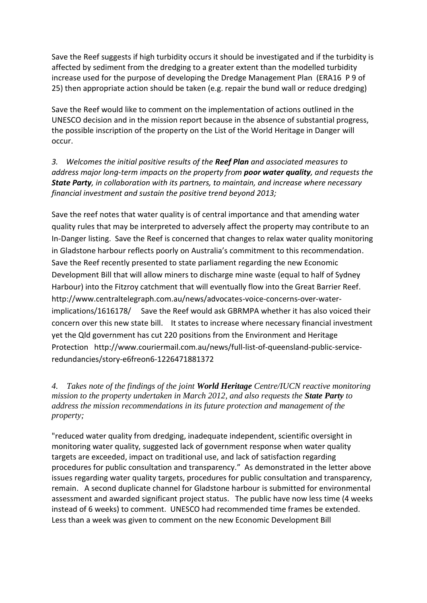Save the Reef suggests if high turbidity occurs it should be investigated and if the turbidity is affected by sediment from the dredging to a greater extent than the modelled turbidity increase used for the purpose of developing the Dredge Management Plan (ERA16 P 9 of 25) then appropriate action should be taken (e.g. repair the bund wall or reduce dredging)

Save the Reef would like to comment on the implementation of actions outlined in the UNESCO decision and in the mission report because in the absence of substantial progress, the possible inscription of the property on the List of the World Heritage in Danger will occur.

*3. Welcomes the initial positive results of the Reef Plan and associated measures to address major long-term impacts on the property from poor water quality, and requests the State Party, in collaboration with its partners, to maintain, and increase where necessary financial investment and sustain the positive trend beyond 2013;*

Save the reef notes that water quality is of central importance and that amending water quality rules that may be interpreted to adversely affect the property may contribute to an In-Danger listing. Save the Reef is concerned that changes to relax water quality monitoring in Gladstone harbour reflects poorly on Australia's commitment to this recommendation. Save the Reef recently presented to state parliament regarding the new Economic Development Bill that will allow miners to discharge mine waste (equal to half of Sydney Harbour) into the Fitzroy catchment that will eventually flow into the Great Barrier Reef. http://www.centraltelegraph.com.au/news/advocates-voice-concerns-over-waterimplications/1616178/ Save the Reef would ask GBRMPA whether it has also voiced their concern over this new state bill. It states to increase where necessary financial investment yet the Qld government has cut 220 positions from the Environment and Heritage Protection http://www.couriermail.com.au/news/full-list-of-queensland-public-serviceredundancies/story-e6freon6-1226471881372

*4. Takes note of the findings of the joint World Heritage Centre/IUCN reactive monitoring mission to the property undertaken in March 2012, and also requests the State Party to address the mission recommendations in its future protection and management of the property;* 

"reduced water quality from dredging, inadequate independent, scientific oversight in monitoring water quality, suggested lack of government response when water quality targets are exceeded, impact on traditional use, and lack of satisfaction regarding procedures for public consultation and transparency." As demonstrated in the letter above issues regarding water quality targets, procedures for public consultation and transparency, remain. A second duplicate channel for Gladstone harbour is submitted for environmental assessment and awarded significant project status. The public have now less time (4 weeks instead of 6 weeks) to comment. UNESCO had recommended time frames be extended. Less than a week was given to comment on the new Economic Development Bill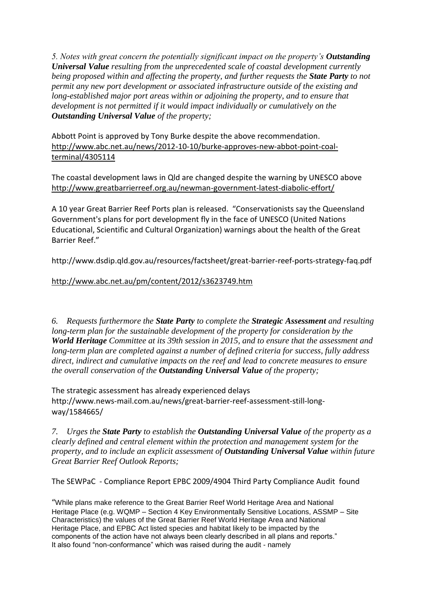*5. Notes with great concern the potentially significant impact on the property's Outstanding Universal Value resulting from the unprecedented scale of coastal development currently being proposed within and affecting the property, and further requests the State Party to not permit any new port development or associated infrastructure outside of the existing and long-established major port areas within or adjoining the property, and to ensure that development is not permitted if it would impact individually or cumulatively on the Outstanding Universal Value of the property;* 

Abbott Point is approved by Tony Burke despite the above recommendation. [http://www.abc.net.au/news/2012-10-10/burke-approves-new-abbot-point-coal](http://www.abc.net.au/news/2012-10-10/burke-approves-new-abbot-point-coal-terminal/4305114)[terminal/4305114](http://www.abc.net.au/news/2012-10-10/burke-approves-new-abbot-point-coal-terminal/4305114)

The coastal development laws in Qld are changed despite the warning by UNESCO above [http://www.greatbarrierreef.org.au/newman-government-latest-diabolic-effort/](http://www.google.com/url?q=http%3A%2F%2Fwww.greatbarrierreef.org.au%2Fnewman-government-latest-diabolic-effort%2F&sa=D&sntz=1&usg=AFQjCNHq6NonFTaUhnGJHDCWlyod6VEjGw)

A 10 year Great Barrier Reef Ports plan is released. "Conservationists say the Queensland Government's plans for port development fly in the face of UNESCO (United Nations Educational, Scientific and Cultural Organization) warnings about the health of the Great Barrier Reef."

http://www.dsdip.qld.gov.au/resources/factsheet/great-barrier-reef-ports-strategy-faq.pdf

## <http://www.abc.net.au/pm/content/2012/s3623749.htm>

*6. Requests furthermore the State Party to complete the Strategic Assessment and resulting long-term plan for the sustainable development of the property for consideration by the World Heritage Committee at its 39th session in 2015, and to ensure that the assessment and long-term plan are completed against a number of defined criteria for success, fully address direct, indirect and cumulative impacts on the reef and lead to concrete measures to ensure the overall conservation of the Outstanding Universal Value of the property;*

The strategic assessment has already experienced delays http://www.news-mail.com.au/news/great-barrier-reef-assessment-still-longway/1584665/

*7. Urges the State Party to establish the Outstanding Universal Value of the property as a clearly defined and central element within the protection and management system for the property, and to include an explicit assessment of Outstanding Universal Value within future Great Barrier Reef Outlook Reports;*

The SEWPaC - [Compliance Report EPBC 2009/4904 Third Party Compliance Audit found](http://www.westernbasinportdevelopment.com.au/media/pdf/Aquas%20WBDDP%20Compliance%20Reprt%20EPBC%2020094904.pdf) 

"While plans make reference to the Great Barrier Reef World Heritage Area and National Heritage Place (e.g. WQMP – Section 4 Key Environmentally Sensitive Locations, ASSMP – Site Characteristics) the values of the Great Barrier Reef World Heritage Area and National Heritage Place, and EPBC Act listed species and habitat likely to be impacted by the components of the action have not always been clearly described in all plans and reports." It also found "non-conformance" which was raised during the audit - namely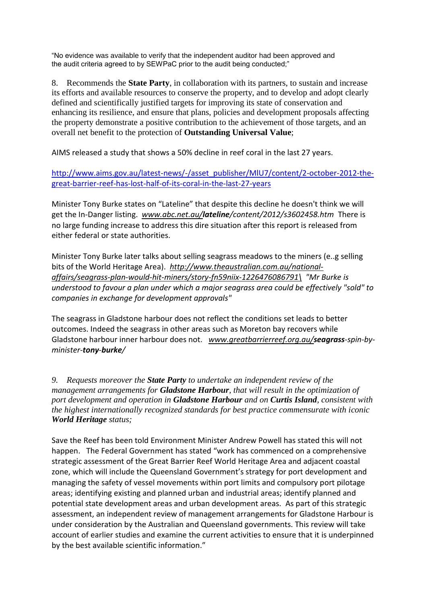"No evidence was available to verify that the independent auditor had been approved and the audit criteria agreed to by SEWPaC prior to the audit being conducted;"

8. Recommends the **State Party**, in collaboration with its partners, to sustain and increase its efforts and available resources to conserve the property, and to develop and adopt clearly defined and scientifically justified targets for improving its state of conservation and enhancing its resilience, and ensure that plans, policies and development proposals affecting the property demonstrate a positive contribution to the achievement of those targets, and an overall net benefit to the protection of **Outstanding Universal Value**;

AIMS released a study that shows a 50% decline in reef coral in the last 27 years.

[http://www.aims.gov.au/latest-news/-/asset\\_publisher/MlU7/content/2-october-2012-the](http://www.aims.gov.au/latest-news/-/asset_publisher/MlU7/content/2-october-2012-the-great-barrier-reef-has-lost-half-of-its-coral-in-the-last-27-years)[great-barrier-reef-has-lost-half-of-its-coral-in-the-last-27-years](http://www.aims.gov.au/latest-news/-/asset_publisher/MlU7/content/2-october-2012-the-great-barrier-reef-has-lost-half-of-its-coral-in-the-last-27-years) 

Minister Tony Burke states on "Lateline" that despite this decline he doesn't think we will get the In-Danger listing. *[www.abc.net.au/](http://www.google.com/url?q=http%3A%2F%2Fwww.abc.net.au%2F&sa=D&sntz=1&usg=AFQjCNFKXDYqC6n7Lxs6jfSkrQ-oUlR5zg)lateline/content/2012/s3602458.htm* There is no large funding increase to address this dire situation after this report is released from either federal or state authorities.

Minister Tony Burke later talks about selling seagrass meadows to the miners (e..g selling bits of the World Heritage Area). *[http://www.theaustralian.com.au/national](http://www.google.com/url?q=http%3A%2F%2Fwww.theaustralian.com.au%2Fnational-affairs%2Fseagrass-plan-would-hit-miners%2Fstory-fn59niix-1226476086791%255C&sa=D&sntz=1&usg=AFQjCNFOpKqKEv9sMxMRiydRS3fIoLLO2g)[affairs/seagrass-plan-would-hit-miners/story-fn59niix-1226476086791\](http://www.google.com/url?q=http%3A%2F%2Fwww.theaustralian.com.au%2Fnational-affairs%2Fseagrass-plan-would-hit-miners%2Fstory-fn59niix-1226476086791%255C&sa=D&sntz=1&usg=AFQjCNFOpKqKEv9sMxMRiydRS3fIoLLO2g) "Mr Burke is understood to favour a plan under which a major seagrass area could be effectively "sold" to companies in exchange for development approvals"*

The seagrass in Gladstone harbour does not reflect the conditions set leads to better outcomes. Indeed the seagrass in other areas such as Moreton bay recovers while Gladstone harbour inner harbour does not. *[www.greatbarrierreef.org.au/](http://www.google.com/url?q=http%3A%2F%2Fwww.greatbarrierreef.org.au%2F&sa=D&sntz=1&usg=AFQjCNGX-SLW44MX540OEa0f5P2_vtkK_g)seagrass-spin-byminister-tony-burke/* 

*9. Requests moreover the State Party to undertake an independent review of the management arrangements for Gladstone Harbour, that will result in the optimization of port development and operation in Gladstone Harbour and on Curtis Island, consistent with the highest internationally recognized standards for best practice commensurate with iconic World Heritage status;*

Save the Reef has been told Environment Minister Andrew Powell has stated this will not happen. The Federal Government has stated "work has commenced on a comprehensive strategic assessment of the Great Barrier Reef World Heritage Area and adjacent coastal zone, which will include the Queensland Government's strategy for port development and managing the safety of vessel movements within port limits and compulsory port pilotage areas; identifying existing and planned urban and industrial areas; identify planned and potential state development areas and urban development areas. As part of this strategic assessment, an independent review of management arrangements for Gladstone Harbour is under consideration by the Australian and Queensland governments. This review will take account of earlier studies and examine the current activities to ensure that it is underpinned by the best available scientific information."